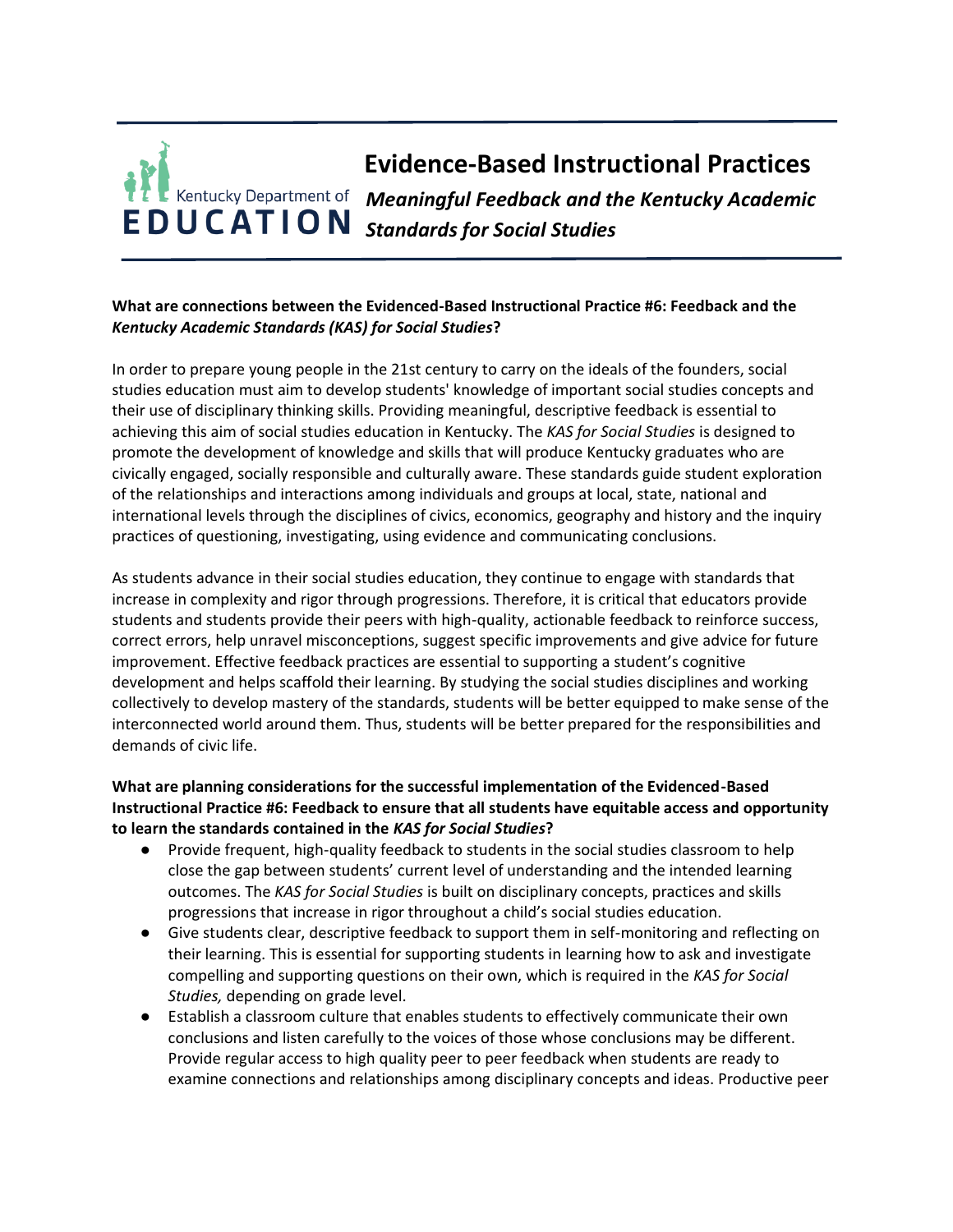## **Evidence-Based Instructional Practices** *Meaningful Feedback and the Kentucky Academic Standards for Social Studies*

## **What are connections between the Evidenced-Based Instructional Practice #6: Feedback and the**  *Kentucky Academic Standards (KAS) for Social Studies***?**

In order to prepare young people in the 21st century to carry on the ideals of the founders, social studies education must aim to develop students' knowledge of important social studies concepts and their use of disciplinary thinking skills. Providing meaningful, descriptive feedback is essential to achieving this aim of social studies education in Kentucky. The *KAS for Social Studies* is designed to promote the development of knowledge and skills that will produce Kentucky graduates who are civically engaged, socially responsible and culturally aware. These standards guide student exploration of the relationships and interactions among individuals and groups at local, state, national and international levels through the disciplines of civics, economics, geography and history and the inquiry practices of questioning, investigating, using evidence and communicating conclusions.

As students advance in their social studies education, they continue to engage with standards that increase in complexity and rigor through progressions. Therefore, it is critical that educators provide students and students provide their peers with high-quality, actionable feedback to reinforce success, correct errors, help unravel misconceptions, suggest specific improvements and give advice for future improvement. Effective feedback practices are essential to supporting a student's cognitive development and helps scaffold their learning. By studying the social studies disciplines and working collectively to develop mastery of the standards, students will be better equipped to make sense of the interconnected world around them. Thus, students will be better prepared for the responsibilities and demands of civic life.

## **What are planning considerations for the successful implementation of the Evidenced-Based Instructional Practice #6: Feedback to ensure that all students have equitable access and opportunity to learn the standards contained in the** *KAS for Social Studies***?**

- Provide frequent, high-quality feedback to students in the social studies classroom to help close the gap between students' current level of understanding and the intended learning outcomes. The *KAS for Social Studies* is built on disciplinary concepts, practices and skills progressions that increase in rigor throughout a child's social studies education.
- Give students clear, descriptive feedback to support them in self-monitoring and reflecting on their learning. This is essential for supporting students in learning how to ask and investigate compelling and supporting questions on their own, which is required in the *KAS for Social Studies,* depending on grade level.
- Establish a classroom culture that enables students to effectively communicate their own conclusions and listen carefully to the voices of those whose conclusions may be different. Provide regular access to high quality peer to peer feedback when students are ready to examine connections and relationships among disciplinary concepts and ideas. Productive peer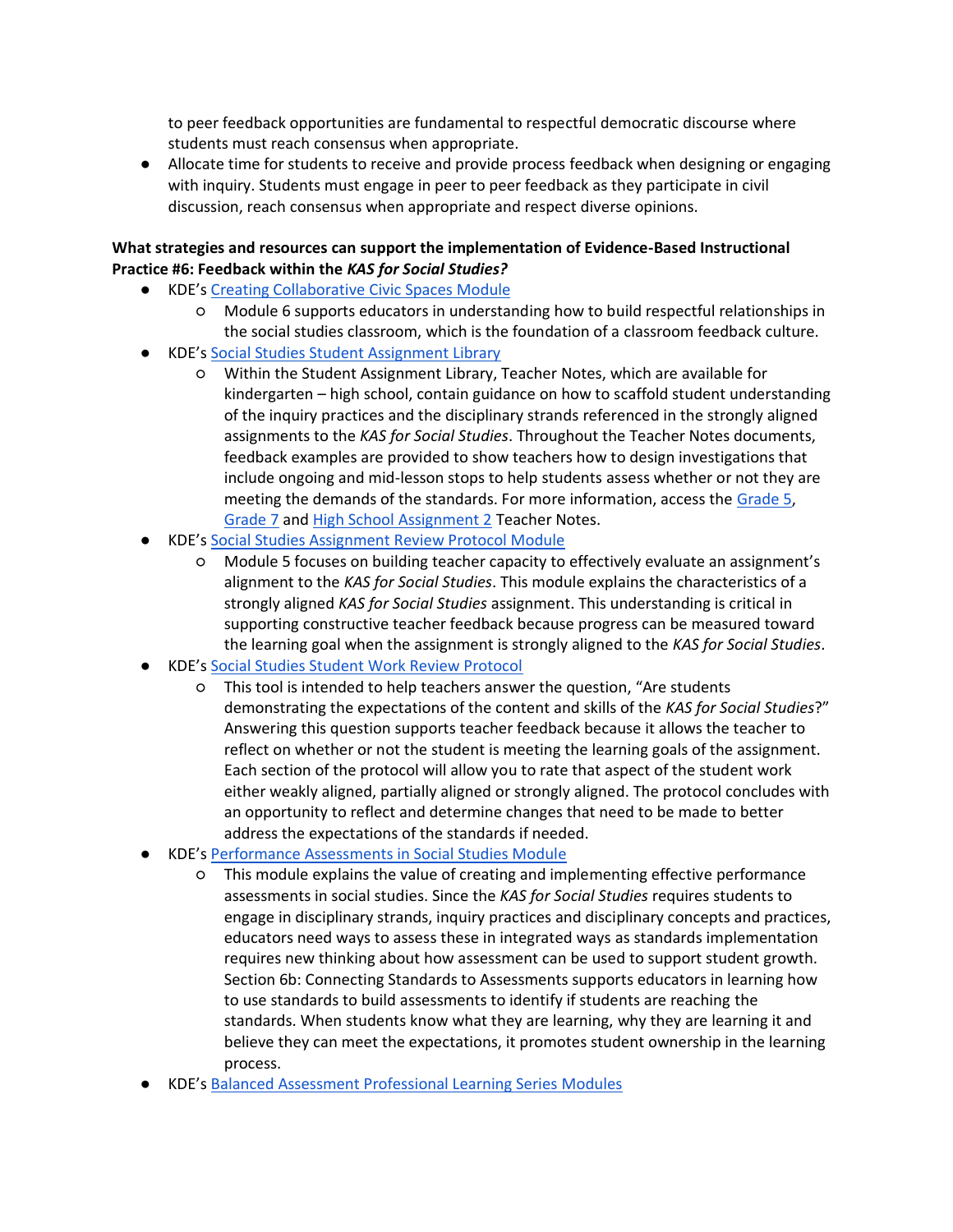to peer feedback opportunities are fundamental to respectful democratic discourse where students must reach consensus when appropriate.

● Allocate time for students to receive and provide process feedback when designing or engaging with inquiry. Students must engage in peer to peer feedback as they participate in civil discussion, reach consensus when appropriate and respect diverse opinions.

## **What strategies and resources can support the implementation of Evidence-Based Instructional Practice #6: Feedback within the** *KAS for Social Studies?*

- KDE's [Creating Collaborative Civic Spaces Module](https://education.ky.gov/curriculum/standards/kyacadstand/Documents/Collaborative_Civic_Spaces_Facilitator_Guide.pdf)
	- Module 6 supports educators in understanding how to build respectful relationships in the social studies classroom, which is the foundation of a classroom feedback culture.
- KDE's [Social Studies Student Assignment Library](https://kystandards.org/standards-resources/sal/ss_sal/)
	- Within the Student Assignment Library, Teacher Notes, which are available for kindergarten – high school, contain guidance on how to scaffold student understanding of the inquiry practices and the disciplinary strands referenced in the strongly aligned assignments to the *KAS for Social Studies*. Throughout the Teacher Notes documents, feedback examples are provided to show teachers how to design investigations that include ongoing and mid-lesson stops to help students assess whether or not they are meeting the demands of the standards. For more information, access the [Grade 5,](https://education.ky.gov/curriculum/standards/kyacadstand/Documents/Grade_5_SS_Strongly_Aligned_Assigment_TN.docx) [Grade 7](https://education.ky.gov/curriculum/standards/kyacadstand/Documents/Grade_7_SS_Strongly_Aligned_Assignment_TN.docx) and [High School Assignment 2](https://education.ky.gov/curriculum/standards/kyacadstand/Documents/High_School_SS_Strongly_Aligned_Assignment_2_TN.docx) Teacher Notes.
- KDE's [Social Studies Assignment Review Protocol Module](https://education.ky.gov/curriculum/standards/kyacadstand/Documents/Social_Studies_Assignment_Review_Protocol_Module.pptx)
	- Module 5 focuses on building teacher capacity to effectively evaluate an assignment's alignment to the *KAS for Social Studies*. This module explains the characteristics of a strongly aligned *KAS for Social Studies* assignment. This understanding is critical in supporting constructive teacher feedback because progress can be measured toward the learning goal when the assignment is strongly aligned to the *KAS for Social Studies*.
- KDE's [Social Studies Student Work Review Protocol](https://education.ky.gov/curriculum/standards/kyacadstand/Documents/Social_Studies_Student_Work_Review_Protocol.docx)
	- This tool is intended to help teachers answer the question, "Are students demonstrating the expectations of the content and skills of the *KAS for Social Studies*?" Answering this question supports teacher feedback because it allows the teacher to reflect on whether or not the student is meeting the learning goals of the assignment. Each section of the protocol will allow you to rate that aspect of the student work either weakly aligned, partially aligned or strongly aligned. The protocol concludes with an opportunity to reflect and determine changes that need to be made to better address the expectations of the standards if needed.
- KDE's [Performance Assessments in Social Studies Module](https://education.ky.gov/curriculum/standards/kyacadstand/Documents/Performance_Assessments_in_Social_Studies_Module.pptx)
	- This module explains the value of creating and implementing effective performance assessments in social studies. Since the *KAS for Social Studies* requires students to engage in disciplinary strands, inquiry practices and disciplinary concepts and practices, educators need ways to assess these in integrated ways as standards implementation requires new thinking about how assessment can be used to support student growth. Section 6b: Connecting Standards to Assessments supports educators in learning how to use standards to build assessments to identify if students are reaching the standards. When students know what they are learning, why they are learning it and believe they can meet the expectations, it promotes student ownership in the learning process.
- KDE's [Balanced Assessment Professional Learning Series Modules](https://kystandards.org/standards-resources/pl-mods/balanced-assessment-plms/)